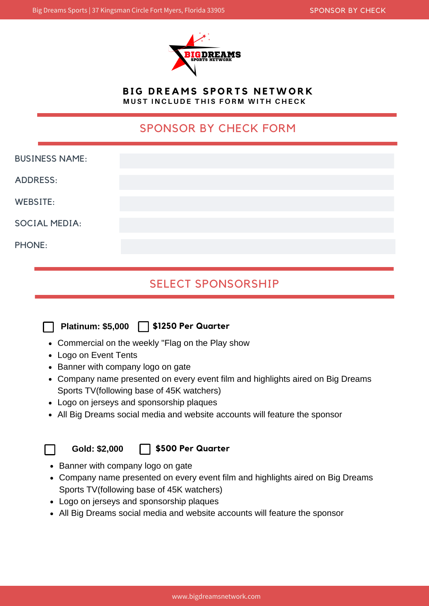

**B I G D R E A M S S P O R T S N E TWO R K** MUST INCLUDE THIS FORM WITH CHECK

## SPONSOR BY CHECK FORM

| <b>BUSINESS NAME:</b> |  |
|-----------------------|--|
| <b>ADDRESS:</b>       |  |
| <b>WEBSITE:</b>       |  |
| <b>SOCIAL MEDIA:</b>  |  |
| <b>PHONE:</b>         |  |

# SELECT SPONSORSHIP



- Commercial on the weekly "Flag on the Play show
- Logo on Event Tents
- Banner with company logo on gate
- Company name presented on every event film and highlights aired on Big Dreams Sports TV(following base of 45K watchers)
- Logo on jerseys and sponsorship plaques
- All Big Dreams social media and website accounts will feature the sponsor



**Gold: \$2,000**

#### **\$500 Per Quarter**

- Banner with company logo on gate
- Company name presented on every event film and highlights aired on Big Dreams Sports TV(following base of 45K watchers)
- Logo on jerseys and sponsorship plaques
- All Big Dreams social media and website accounts will feature the sponsor